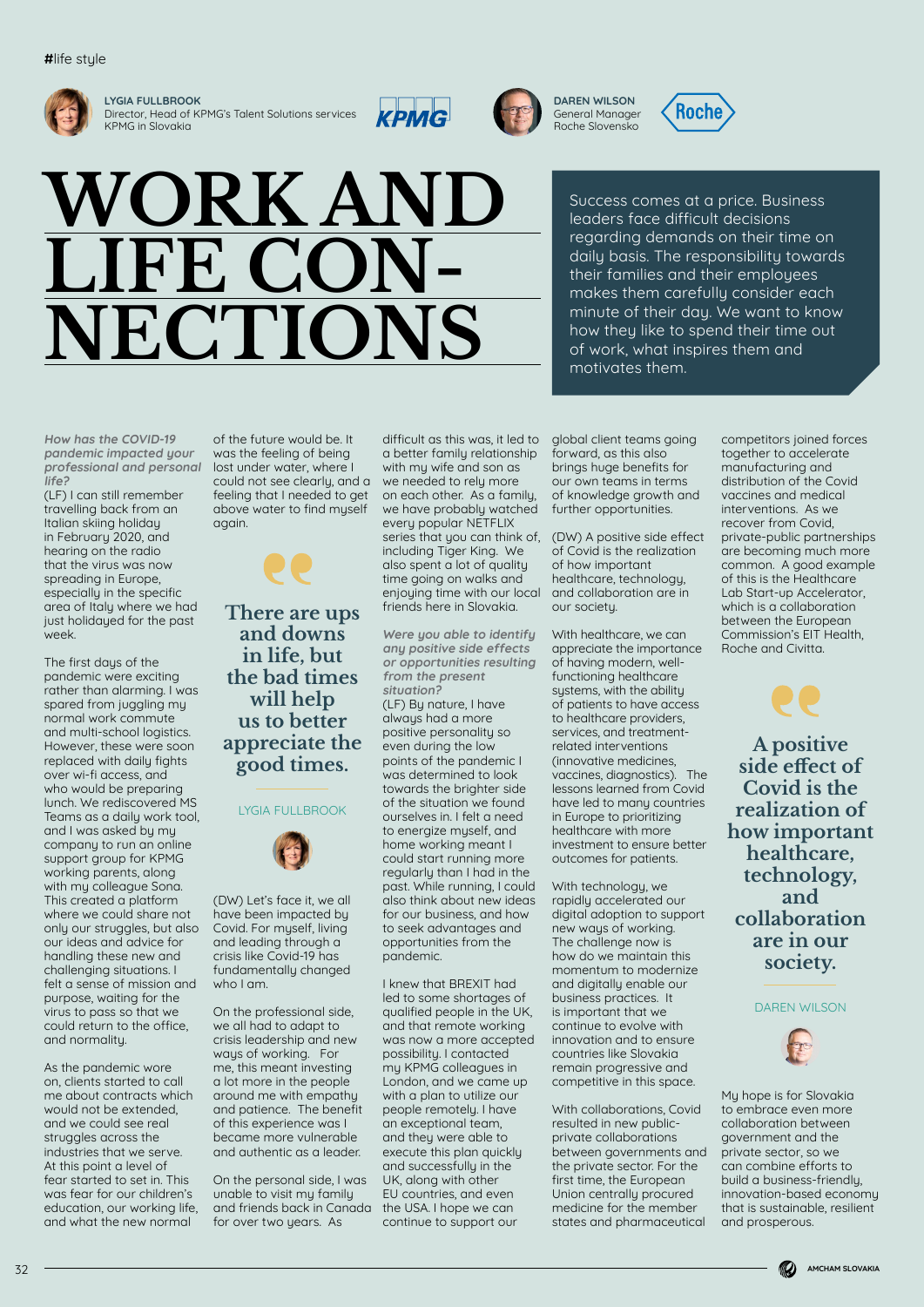

**LYGIA FULLBROOK**  Director, Head of KPMG's Talent Solutions services KPMG in Slovakia





**DAREN WILSON** General Manager Roche Slovensko



**WORK AND LIFE CON- NECTIONS**

Success comes at a price. Business leaders face difficult decisions regarding demands on their time on daily basis. The responsibility towards their families and their employees makes them carefully consider each minute of their day. We want to know how they like to spend their time out of work, what inspires them and motivates them.

**How has the COVID-19 pandemic impacted your professional and personal life?**

(LF) I can still remember travelling back from an Italian skiing holiday in February 2020, and hearing on the radio that the virus was now spreading in Europe, especially in the specific area of Italy where we had just holidayed for the past week.

The first days of the pandemic were exciting rather than alarming. I was spared from juggling my normal work commute and multi-school logistics. However, these were soon replaced with daily fights over wi-fi access, and who would be preparing lunch. We rediscovered MS Teams as a daily work tool, and I was asked by my company to run an online support group for KPMG working parents, along with my colleague Sona. This created a platform where we could share not only our struggles, but also our ideas and advice for handling these new and challenging situations. I felt a sense of mission and purpose, waiting for the virus to pass so that we could return to the office, and normality.

As the pandemic wore on, clients started to call me about contracts which would not be extended, and we could see real struggles across the industries that we serve. At this point a level of fear started to set in. This was fear for our children's education, our working life, and what the new normal

of the future would be. It was the feeling of being lost under water, where I could not see clearly, and a feeling that I needed to get above water to find myself again.



**the bad times will help us to better appreciate the good times.**

#### LYGIA FULLBROOK



(DW) Let's face it, we all have been impacted by Covid. For muself, living and leading through a crisis like Covid-19 has fundamentally changed who I am.

On the professional side, we all had to adapt to crisis leadership and new ways of working. For me, this meant investing a lot more in the people around me with empathy and patience. The benefit of this experience was I became more vulnerable and authentic as a leader.

On the personal side, I was unable to visit my family and friends back in Canada for over two years. As

difficult as this was, it led to a better family relationship with my wife and son as we needed to rely more on each other. As a family, we have probably watched every popular NETFLIX series that you can think of, including Tiger King. We also spent a lot of quality time going on walks and enjoying time with our local friends here in Slovakia.

**Were you able to identify any positive side effects or opportunities resulting from the present situation?**  (LF) By nature, I have always had a more positive personality so even during the low points of the pandemic I was determined to look towards the brighter side of the situation we found ourselves in. I felt a need to energize myself, and home working meant I could start running more regularly than I had in the past. While running, I could also think about new ideas for our business, and how to seek advantages and opportunities from the pandemic.

I knew that BREXIT had led to some shortages of qualified people in the UK, and that remote working was now a more accepted possibility. I contacted my KPMG colleagues in London, and we came up with a plan to utilize our people remotely. I have an exceptional team, and they were able to execute this plan quicklu and successfully in the UK, along with other EU countries, and even the USA. I hope we can continue to support our

global client teams going forward, as this also brings huge benefits for our own teams in terms of knowledge growth and further opportunities.

(DW) A positive side effect of Covid is the realization of how important healthcare, technology, and collaboration are in our society.

With healthcare, we can appreciate the importance of having modern, wellfunctioning healthcare sustems, with the abilitu of patients to have access to healthcare providers, services, and treatmentrelated interventions (innovative medicines, vaccines, diagnostics). The lessons learned from Covid have led to many countries in Europe to prioritizing healthcare with more investment to ensure better outcomes for patients.

With technology, we rapidly accelerated our digital adoption to support new ways of working. The challenge now is how do we maintain this momentum to modernize and digitally enable our business practices. It is important that we continue to evolve with innovation and to ensure countries like Slovakia remain progressive and competitive in this space.

With collaborations, Covid resulted in new publicprivate collaborations between governments and the private sector. For the first time, the European Union centrally procured medicine for the member states and pharmaceutical

competitors joined forces together to accelerate manufacturing and distribution of the Covid vaccines and medical interventions. As we recover from Covid, private-public partnerships are becoming much more common. A good example of this is the Healthcare Lab Start-up Accelerator, which is a collaboration between the European Commission's EIT Health, Roche and Civitta.

**A positive side effect of Covid is the realization of how important healthcare, technology, and collaboration are in our society.**

DAREN WILSON



My hope is for Slovakia to embrace even more collaboration between government and the private sector, so we can combine efforts to build a business-friendly, innovation-based economy that is sustainable, resilient and prosperous.

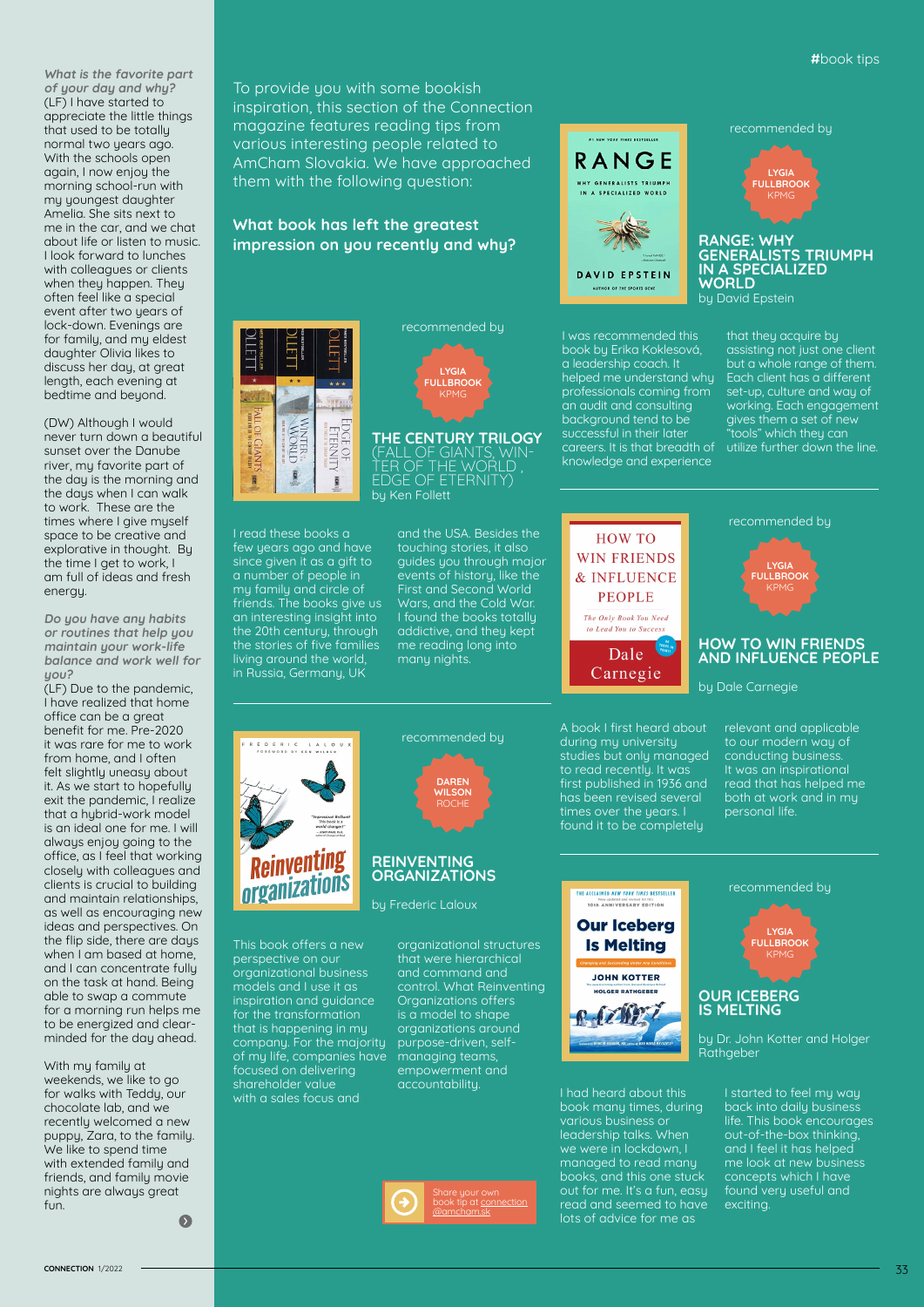**What is the favorite part of your day and why?** (LF) I have started to appreciate the little things that used to be totally normal two years ago. With the schools open again, I now enjoy the morning school-run with mu youngest daughter Amelia. She sits next to me in the car, and we chat about life or listen to music. I look forward to lunches with colleagues or clients when they happen. They often feel like a special event after two years of lock-down. Evenings are for family, and my eldest daughter Olivia likes to discuss her day, at great length, each evening at bedtime and beyond.

(DW) Although I would never turn down a beautiful sunset over the Danube river, my favorite part of the day is the morning and the days when I can walk to work. These are the times where I give myself space to be creative and explorative in thought. By the time I get to work, I am full of ideas and fresh energu.

**Do you have any habits or routines that help you maintain your work-life balance and work well for you?**

(LF) Due to the pandemic, I have realized that home office can be a great benefit for me. Pre-2020 it was rare for me to work from home, and I often felt slightly uneasy about it. As we start to hopefully exit the pandemic, I realize that a hybrid-work model is an ideal one for me. I will always enjoy going to the office, as I feel that working closely with colleagues and clients is crucial to building and maintain relationships, as well as encouraging new ideas and perspectives. On the flip side, there are days when I am based at home, and I can concentrate fully on the task at hand. Being able to swap a commute for a morning run helps me to be energized and clearminded for the day ahead.

With my family at weekends, we like to go for walks with Teddy, our chocolate lab, and we recently welcomed a new puppy, Zara, to the family. We like to spend time with extended family and friends, and family movie nights are always great fun.

 $\bullet$ 

To provide you with some bookish inspiration, this section of the Connection magazine features reading tips from various interesting people related to AmCham Slovakia. We have approached them with the following question:

## **What book has left the greatest impression on you recently and why?**



I read these books a few years ago and have since given it as a gift to a number of people in my family and circle of friends. The books give us an interesting insight into the 20th century, through living around the world, in Russia, Germany, UK

This book offers a new perspective on our organizational business models and I use it as inspiration and guidance for the transformation that is happening in my company. For the majority of my life, companies have focused on delivering shareholder value with a sales focus and

*<u><b>REILIVERSIDE</u>* 

(FALL OF GIANTS, WIN-<br>TER OF THE WORLD , EDGE OF ETERNITY) by Ken Follett and the USA. Besides the touching stories, it also

**THE CENTURY TRILOGY** 

recommended by

**LYGIA FULLBROOK** KPMG

guides you through major events of history, like the First and Second World Wars, and the Cold War. I found the books totally addictive, and they kept me reading long into many nights.



#### **REINVENTING ORGANIZATIONS**

by Frederic Laloux

organizational structures that were hierarchical and command and control. What Reinventing Organizations offers is a model to shape organizations around purpose-driven, selfmanaging teams, empowerment and accountability.





A book I first heard about during my university studies but only managed to read recently. It was first published in 1936 and has been revised several times over the years. I found it to be completely

I was recommended this book by Erika Koklesová, a leadership coach. It helped me understand why professionals coming from an audit and consulting background tend to be successful in their later careers. It is that breadth of knowledge and experience

**HOW TO** 

**PEOPLE** 

to Lead You to Succ Dale Carnegie

**DAVID EPSTEIN** 

RANGE WHY GENERALISTS TRIUMPH

I had heard about this book many times, during various business or leadership talks. When we were in lockdown, I managed to read many books, and this one stuck out for me. It's a fun, easy read and seemed to have lots of advice for me as



**RANGE: WHY GENERALISTS TRIUMPH IN A SPECIALIZED WORLD**  by David Epstein

> that they acquire by assisting not just one client but a whole range of them. Each client has a different set-up, culture and way of working. Each engagement gives them a set of new "tools" which they can utilize further down the line.



### **HOW TO WIN FRIENDS AND INFLUENCE PEOPLE**

by Dale Carnegie

relevant and applicable to our modern way of conducting business. read that has helped me both at work and in my personal life.



by Dr. John Kotter and Holger **Rathgeber** 

> I started to feel my way back into daily business life. This book encourages out-of-the-box thinking, and I feel it has helped concepts which I have found very useful and exciting.